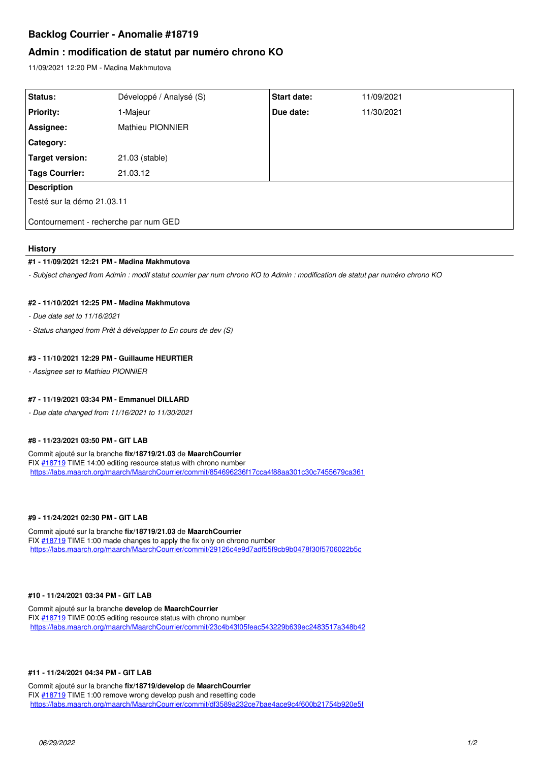# **Backlog Courrier - Anomalie #18719**

## **Admin : modification de statut par numéro chrono KO**

11/09/2021 12:20 PM - Madina Makhmutova

| Status:                               | Développé / Analysé (S) | Start date: | 11/09/2021 |
|---------------------------------------|-------------------------|-------------|------------|
| <b>Priority:</b>                      | 1-Majeur                | Due date:   | 11/30/2021 |
| Assignee:                             | <b>Mathieu PIONNIER</b> |             |            |
| <b>Category:</b>                      |                         |             |            |
| <b>Target version:</b>                | 21.03 (stable)          |             |            |
| <b>Tags Courrier:</b>                 | 21.03.12                |             |            |
| <b>Description</b>                    |                         |             |            |
| Testé sur la démo 21.03.11            |                         |             |            |
| Contournement - recherche par num GED |                         |             |            |

### **History**

#### **#1 - 11/09/2021 12:21 PM - Madina Makhmutova**

*- Subject changed from Admin : modif statut courrier par num chrono KO to Admin : modification de statut par numéro chrono KO*

## **#2 - 11/10/2021 12:25 PM - Madina Makhmutova**

*- Due date set to 11/16/2021*

*- Status changed from Prêt à développer to En cours de dev (S)*

#### **#3 - 11/10/2021 12:29 PM - Guillaume HEURTIER**

*- Assignee set to Mathieu PIONNIER*

#### **#7 - 11/19/2021 03:34 PM - Emmanuel DILLARD**

*- Due date changed from 11/16/2021 to 11/30/2021*

## **#8 - 11/23/2021 03:50 PM - GIT LAB**

Commit ajouté sur la branche **fix/18719/21.03** de **MaarchCourrier** FIX [#18719](https://forge.maarch.org/issues/18719) TIME 14:00 editing resource status with chrono number <https://labs.maarch.org/maarch/MaarchCourrier/commit/854696236f17cca4f88aa301c30c7455679ca361>

#### **#9 - 11/24/2021 02:30 PM - GIT LAB**

Commit ajouté sur la branche **fix/18719/21.03** de **MaarchCourrier** FIX  $\#18719$  TIME 1:00 made changes to apply the fix only on chrono number <https://labs.maarch.org/maarch/MaarchCourrier/commit/29126c4e9d7adf55f9cb9b0478f30f5706022b5c>

#### **#10 - 11/24/2021 03:34 PM - GIT LAB**

Commit ajouté sur la branche **develop** de **MaarchCourrier** FIX [#18719](https://forge.maarch.org/issues/18719) TIME 00:05 editing resource status with chrono number <https://labs.maarch.org/maarch/MaarchCourrier/commit/23c4b43f05feac543229b639ec2483517a348b42>

#### **#11 - 11/24/2021 04:34 PM - GIT LAB**

Commit ajouté sur la branche **fix/18719/develop** de **MaarchCourrier** FIX  $\frac{118719}{2}$  TIME 1:00 remove wrong develop push and resetting code <https://labs.maarch.org/maarch/MaarchCourrier/commit/df3589a232ce7bae4ace9c4f600b21754b920e5f>